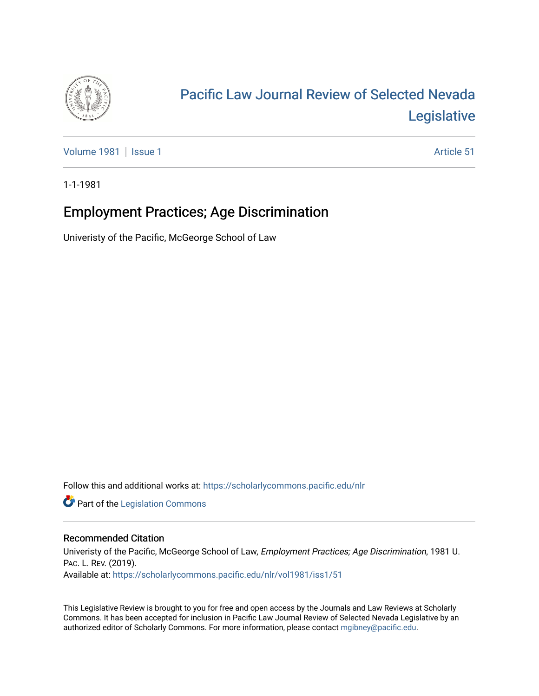

# [Pacific Law Journal Review of Selected Nevada](https://scholarlycommons.pacific.edu/nlr)  [Legislative](https://scholarlycommons.pacific.edu/nlr)

[Volume 1981](https://scholarlycommons.pacific.edu/nlr/vol1981) | [Issue 1](https://scholarlycommons.pacific.edu/nlr/vol1981/iss1) Article 51

1-1-1981

## Employment Practices; Age Discrimination

Univeristy of the Pacific, McGeorge School of Law

Follow this and additional works at: [https://scholarlycommons.pacific.edu/nlr](https://scholarlycommons.pacific.edu/nlr?utm_source=scholarlycommons.pacific.edu%2Fnlr%2Fvol1981%2Fiss1%2F51&utm_medium=PDF&utm_campaign=PDFCoverPages) 

**Part of the [Legislation Commons](http://network.bepress.com/hgg/discipline/859?utm_source=scholarlycommons.pacific.edu%2Fnlr%2Fvol1981%2Fiss1%2F51&utm_medium=PDF&utm_campaign=PDFCoverPages)** 

#### Recommended Citation

Univeristy of the Pacific, McGeorge School of Law, Employment Practices; Age Discrimination, 1981 U. PAC. L. REV. (2019). Available at: [https://scholarlycommons.pacific.edu/nlr/vol1981/iss1/51](https://scholarlycommons.pacific.edu/nlr/vol1981/iss1/51?utm_source=scholarlycommons.pacific.edu%2Fnlr%2Fvol1981%2Fiss1%2F51&utm_medium=PDF&utm_campaign=PDFCoverPages)

This Legislative Review is brought to you for free and open access by the Journals and Law Reviews at Scholarly Commons. It has been accepted for inclusion in Pacific Law Journal Review of Selected Nevada Legislative by an authorized editor of Scholarly Commons. For more information, please contact [mgibney@pacific.edu](mailto:mgibney@pacific.edu).